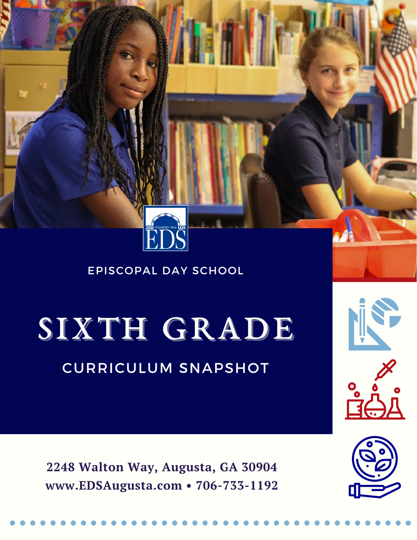## EPISCOPAL DAY SCHOOL

# SIXTH GRADE

# CURRICULUM SNAPSHOT

**2248 Walton Way, Augusta, GA 30904 www.EDSAugusta.com • 706-733-1192**





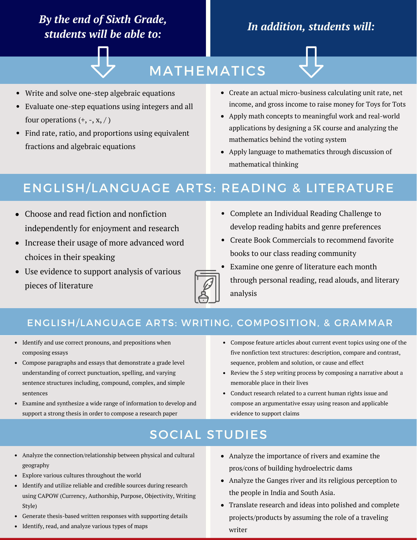#### *By the end of Sixth Grade, students will be able to:*

#### *In addition, students will:*



# MATHEMATICS

- Write and solve one-step algebraic equations
- Evaluate one-step equations using integers and all four operations  $(+, -, x, /)$
- Find rate, ratio, and proportions using equivalent fractions and algebraic equations
- Create an actual micro-business calculating unit rate, net income, and gross income to raise money for Toys for Tots
- Apply math concepts to meaningful work and real-world applications by designing a 5K course and analyzing the mathematics behind the voting system
- Apply language to mathematics through discussion of mathematical thinking

## ENGLISH/LANGUAGE ARTS: READING & LITERATURE

- Choose and read fiction and nonfiction independently for enjoyment and research
- Increase their usage of more advanced word choices in their speaking
- Use evidence to support analysis of various pieces of literature
- Complete an Individual Reading Challenge to develop reading habits and genre preferences
- Create Book Commercials to recommend favorite books to our class reading community
- Examine one genre of literature each month through personal reading, read alouds, and literary analysis

#### ENGLISH/LANGUAGE ARTS: WRITING, COMPOSITION, & GRAMMAR

- Identify and use correct pronouns, and prepositions when composing essays
- Compose paragraphs and essays that demonstrate a grade level understanding of correct punctuation, spelling, and varying sentence structures including, compound, complex, and simple sentences
- Examine and synthesize a wide range of information to develop and support a strong thesis in order to compose a research paper
- Compose feature articles about current event topics using one of the five nonfiction text structures: description, compare and contrast, sequence, problem and solution, or cause and effect
- Review the 5 step writing process by composing a narrative about a memorable place in their lives
- Conduct research related to a current human rights issue and compose an argumentative essay using reason and applicable evidence to support claims

#### SOCIAL STUDIES

- Analyze the connection/relationship between physical and cultural geography
- Explore various cultures throughout the world
- Identify and utilize reliable and credible sources during research using CAPOW (Currency, Authorship, Purpose, Objectivity, Writing Style)
- Generate thesis-based written responses with supporting details
- Identify, read, and analyze various types of maps
- Analyze the importance of rivers and examine the pros/cons of building hydroelectric dams
- Analyze the Ganges river and its religious perception to the people in India and South Asia.
- Translate research and ideas into polished and complete projects/products by assuming the role of a traveling writer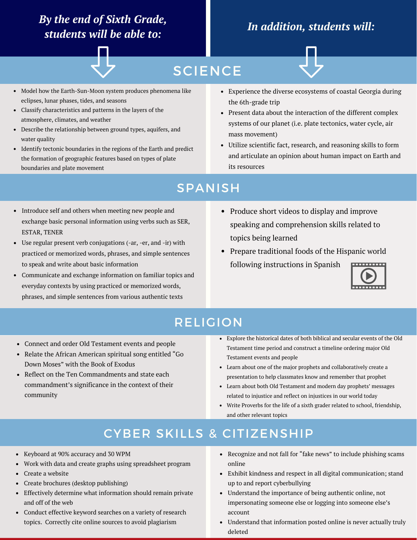#### *By the end of Sixth Grade, students will be able to:*

#### *In addition, students will:*



# **SCIENCE**



- Model how the Earth-Sun-Moon system produces phenomena like eclipses, lunar phases, tides, and seasons
- Classify characteristics and patterns in the layers of the atmosphere, climates, and weather
- Describe the relationship between ground types, aquifers, and water quality
- Identify tectonic boundaries in the regions of the Earth and predict the formation of geographic features based on types of plate boundaries and plate movement
- Experience the diverse ecosystems of coastal Georgia during the 6th-grade trip
- Present data about the interaction of the different complex systems of our planet (i.e. plate tectonics, water cycle, air mass movement)
- Utilize scientific fact, research, and reasoning skills to form and articulate an opinion about human impact on Earth and its resources

#### SPANISH

- Introduce self and others when meeting new people and exchange basic personal information using verbs such as SER, ESTAR, TENER
- Use regular present verb conjugations (-ar, -er, and -ir) with practiced or memorized words, phrases, and simple sentences to speak and write about basic information
- Communicate and exchange information on familiar topics and everyday contexts by using practiced or memorized words, phrases, and simple sentences from various authentic texts
- Produce short videos to display and improve speaking and comprehension skills related to topics being learned
- Prepare traditional foods of the Hispanic world following instructions in Spanish



#### RELIGION

- Connect and order Old Testament events and people
- Relate the African American spiritual song entitled "Go Down Moses" with the Book of Exodus
- Reflect on the Ten Commandments and state each commandment's significance in the context of their community
- Explore the historical dates of both biblical and secular events of the Old Testament time period and construct a timeline ordering major Old Testament events and people
- Learn about one of the major prophets and collaboratively create a presentation to help classmates know and remember that prophet
- Learn about both Old Testament and modern day prophets' messages related to injustice and reflect on injustices in our world today
- Write Proverbs for the life of a sixth grader related to school, friendship, and other relevant topics

## CYBER SKILLS & CITIZENSHIP

- Keyboard at 90% accuracy and 30 WPM
- Work with data and create graphs using spreadsheet program
- Create a website
- Create brochures (desktop publishing)
- Effectively determine what information should remain private and off of the web
- Conduct effective keyword searches on a variety of research topics. Correctly cite online sources to avoid plagiarism
- Recognize and not fall for "fake news" to include phishing scams online
- Exhibit kindness and respect in all digital communication; stand up to and report cyberbullying
- Understand the importance of being authentic online, not impersonating someone else or logging into someone else's account
- Understand that information posted online is never actually truly deleted